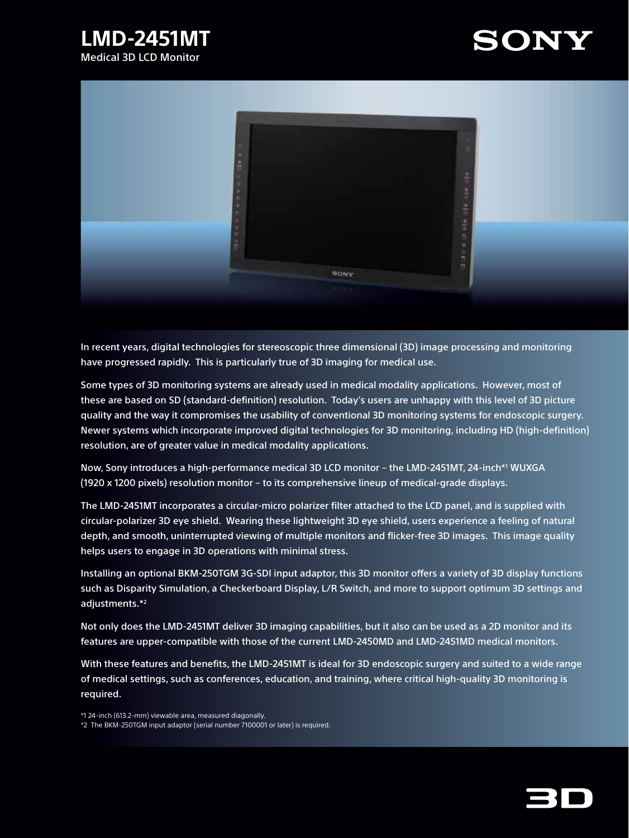# **LMD-2451MT** Medical 3D LCD Monitor





In recent years, digital technologies for stereoscopic three dimensional (3D) image processing and monitoring have progressed rapidly. This is particularly true of 3D imaging for medical use.

Some types of 3D monitoring systems are already used in medical modality applications. However, most of these are based on SD (standard-definition) resolution. Today's users are unhappy with this level of 3D picture quality and the way it compromises the usability of conventional 3D monitoring systems for endoscopic surgery. Newer systems which incorporate improved digital technologies for 3D monitoring, including HD (high-definition) resolution, are of greater value in medical modality applications.

Now, Sony introduces a high-performance medical 3D LCD monitor – the LMD-2451MT, 24-inch\*1 WUXGA (1920 x 1200 pixels) resolution monitor – to its comprehensive lineup of medical-grade displays.

The LMD-2451MT incorporates a circular-micro polarizer filter attached to the LCD panel, and is supplied with circular-polarizer 3D eye shield. Wearing these lightweight 3D eye shield, users experience a feeling of natural depth, and smooth, uninterrupted viewing of multiple monitors and flicker-free 3D images. This image quality helps users to engage in 3D operations with minimal stress.

Installing an optional BKM-250TGM 3G-SDI input adaptor, this 3D monitor offers a variety of 3D display functions such as Disparity Simulation, a Checkerboard Display, L/R Switch, and more to support optimum 3D settings and adjustments.\*2

Not only does the LMD-2451MT deliver 3D imaging capabilities, but it also can be used as a 2D monitor and its features are upper-compatible with those of the current LMD-2450MD and LMD-2451MD medical monitors.

With these features and benefits, the LMD-2451MT is ideal for 3D endoscopic surgery and suited to a wide range of medical settings, such as conferences, education, and training, where critical high-quality 3D monitoring is required.

\*1 24-inch (613.2-mm) viewable area, measured diagonally. \*2 The BKM-250TGM input adaptor (serial number 7100001 or later) is required.

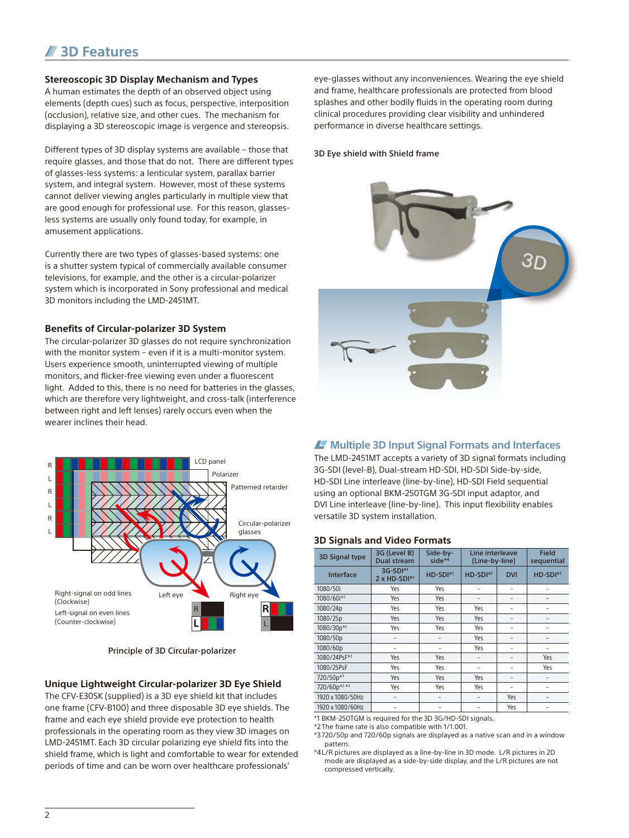# **3D Features**

## **Stereoscopic 3D Display Mechanism and Types**

A human estimates the depth of an observed object using elements (depth cues) such as focus, perspective, interposition (occlusion), relative size, and other cues. The mechanism for displaying a 3D stereoscopic image is vergence and stereopsis.

Different types of 3D display systems are available – those that require glasses, and those that do not. There are different types of glasses-less systems: a lenticular system, parallax barrier system, and integral system. However, most of these systems cannot deliver viewing angles particularly in multiple view that are good enough for professional use. For this reason, glassesless systems are usually only found today, for example, in amusement applications.

Currently there are two types of glasses-based systems: one is a shutter system typical of commercially available consumer televisions, for example, and the other is a circular-polarizer system which is incorporated in Sony professional and medical 3D monitors including the LMD-2451MT.

#### **Benefits of Circular-polarizer 3D System**

The circular-polarizer 3D glasses do not require synchronization with the monitor system – even if it is a multi-monitor system. Users experience smooth, uninterrupted viewing of multiple monitors, and flicker-free viewing even under a fluorescent light. Added to this, there is no need for batteries in the glasses, which are therefore very lightweight, and cross-talk (interference between right and left lenses) rarely occurs even when the wearer inclines their head.



Principle of 3D Circular-polarizer

#### **Unique Lightweight Circular-polarizer 3D Eye Shield**

The CFV-E30SK (supplied) is a 3D eye shield kit that includes one frame (CFV-B100) and three disposable 3D eye shields. The frame and each eye shield provide eye protection to health professionals in the operating room as they view 3D images on LMD-2451MT. Each 3D circular polarizing eye shield fits into the shield frame, which is light and comfortable to wear for extended periods of time and can be worn over healthcare professionals'

eye-glasses without any inconveniences. Wearing the eye shield and frame, healthcare professionals are protected from blood splashes and other bodily fluids in the operating room during clinical procedures providing clear visibility and unhindered performance in diverse healthcare settings.

#### 3D Eye shield with Shield frame



# **Multiple 3D Input Signal Formats and Interfaces**

The LMD-2451MT accepts a variety of 3D signal formats including 3G-SDI (level-B), Dual-stream HD-SDI, HD-SDI Side-by-side, HD-SDI Line interleave (line-by-line), HD-SDI Field sequential using an optional BKM-250TGM 3G-SDI input adaptor, and DVI Line interleave (line-by-line). This input flexibility enables versatile 3D system installation.

#### **3D Signals and Video Formats**

| <b>3D Signal type</b> | 3G (Level B)<br><b>Dual stream</b> | Side-by-<br>side $*4$ | Line interleave<br>(Line-by-line) |            | <b>Field</b><br>sequential |
|-----------------------|------------------------------------|-----------------------|-----------------------------------|------------|----------------------------|
| Interface             | 3G-SDI*1<br>$2 \times HD-SDI^{*1}$ | HD-SDI <sup>*1</sup>  | HD-SDI <sup>*1</sup>              | <b>DVI</b> | HD-SDI*1                   |
| 1080/50i              | Yes                                | Yes                   | -                                 |            |                            |
| 1080/60i*2            | Yes                                | Yes                   | -                                 | -          |                            |
| 1080/24p              | Yes                                | Yes                   | Yes                               | ۰          |                            |
| 1080/25p              | Yes                                | Yes                   | Yes                               | ۰          | -                          |
| 1080/30p*2            | Yes                                | Yes                   | Yes                               | -          | -                          |
| 1080/50p              |                                    | -                     | Yes                               | -          |                            |
| 1080/60p              | -                                  |                       | Yes                               |            |                            |
| 1080/24PsF*2          | Yes                                | Yes                   | -                                 | -          | Yes                        |
| 1080/25PsF            | Yes                                | Yes                   | $\overline{\phantom{0}}$          | -          | Yes                        |
| 720/50p*3             | Yes                                | Yes                   | Yes                               | -          |                            |
| 720/60p*2 *3          | Yes                                | Yes                   | Yes                               |            |                            |
| 1920 x 1080/50Hz      | $\overline{\phantom{0}}$           | -                     | $\qquad \qquad -$                 | Yes        |                            |
| 1920 x 1080/60Hz      | -                                  | -                     | -                                 | Yes        |                            |

\*1 BKM-250TGM is required for the 3D 3G/HD-SDI signals.

\*2 The frame rate is also compatible with 1/1.001.

\*3 720/50p and 720/60p signals are displayed as a native scan and in a window pattern.

\*4L/R pictures are displayed as a line-by-line in 3D mode. L/R pictures in 2D mode are displayed as a side-by-side display, and the L/R pictures are not compressed vertically.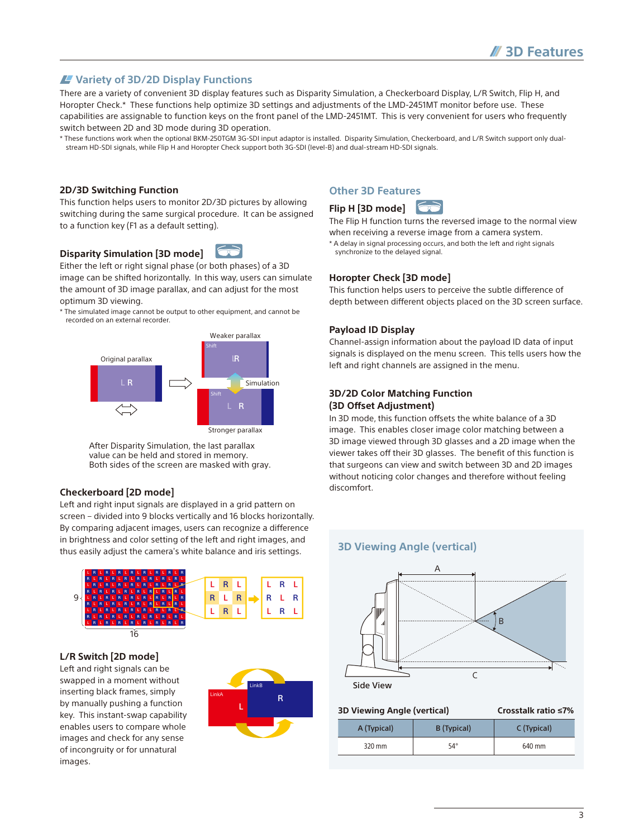# **Variety of 3D/2D Display Functions**

There are a variety of convenient 3D display features such as Disparity Simulation, a Checkerboard Display, L/R Switch, Flip H, and Horopter Check.\* These functions help optimize 3D settings and adjustments of the LMD-2451MT monitor before use. These capabilities are assignable to function keys on the front panel of the LMD-2451MT. This is very convenient for users who frequently switch between 2D and 3D mode during 3D operation.

\* These functions work when the optional BKM-250TGM 3G-SDI input adaptor is installed. Disparity Simulation, Checkerboard, and L/R Switch support only dualstream HD-SDI signals, while Flip H and Horopter Check support both 3G-SDI (level-B) and dual-stream HD-SDI signals.

#### **2D/3D Switching Function**

This function helps users to monitor 2D/3D pictures by allowing switching during the same surgical procedure. It can be assigned to a function key (F1 as a default setting).

# **Disparity Simulation [3D mode]**

Either the left or right signal phase (or both phases) of a 3D image can be shifted horizontally. In this way, users can simulate the amount of 3D image parallax, and can adjust for the most optimum 3D viewing.

\* The simulated image cannot be output to other equipment, and cannot be recorded on an external recorder.



After Disparity Simulation, the last parallax value can be held and stored in memory. Both sides of the screen are masked with gray.

## **Checkerboard [2D mode]**

Left and right input signals are displayed in a grid pattern on screen – divided into 9 blocks vertically and 16 blocks horizontally. By comparing adjacent images, users can recognize a difference in brightness and color setting of the left and right images, and thus easily adjust the camera's white balance and iris settings.



#### **L/R Switch [2D mode]**

Left and right signals can be swapped in a moment without inserting black frames, simply by manually pushing a function key. This instant-swap capability enables users to compare whole images and check for any sense of incongruity or for unnatural images.



# **Other 3D Features**

# **Flip H [3D mode]**

The Flip H function turns the reversed image to the normal view when receiving a reverse image from a camera system.

\* A delay in signal processing occurs, and both the left and right signals synchronize to the delayed signal.

#### **Horopter Check [3D mode]**

This function helps users to perceive the subtle difference of depth between different objects placed on the 3D screen surface.

#### **Payload ID Display**

Channel-assign information about the payload ID data of input signals is displayed on the menu screen. This tells users how the left and right channels are assigned in the menu.

## **3D/2D Color Matching Function (3D Offset Adjustment)**

In 3D mode, this function offsets the white balance of a 3D image. This enables closer image color matching between a 3D image viewed through 3D glasses and a 2D image when the viewer takes off their 3D glasses. The benefit of this function is that surgeons can view and switch between 3D and 2D images without noticing color changes and therefore without feeling discomfort.

#### **3D Viewing Angle (vertical)**



**3D Viewing Angle (vertical)** 

| A (Typical) | B (Typical) | C (Typical) |
|-------------|-------------|-------------|
| 320 mm      | 54°         | 640 mm      |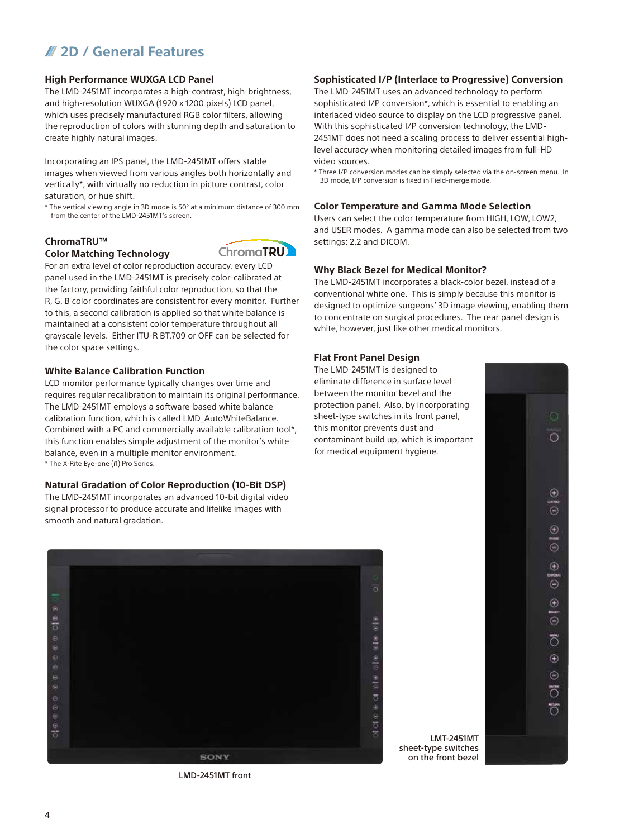# **2D / General Features**

## **High Performance WUXGA LCD Panel**

The LMD-2451MT incorporates a high-contrast, high-brightness, and high-resolution WUXGA (1920 x 1200 pixels) LCD panel, which uses precisely manufactured RGB color filters, allowing the reproduction of colors with stunning depth and saturation to create highly natural images.

Incorporating an IPS panel, the LMD-2451MT offers stable images when viewed from various angles both horizontally and vertically\*, with virtually no reduction in picture contrast, color saturation, or hue shift.

\* The vertical viewing angle in 3D mode is 50° at a minimum distance of 300 mm from the center of the LMD-2451MT's screen.

# **ChromaTRU™**

## **Color Matching Technology**



For an extra level of color reproduction accuracy, every LCD panel used in the LMD-2451MT is precisely color-calibrated at the factory, providing faithful color reproduction, so that the R, G, B color coordinates are consistent for every monitor. Further to this, a second calibration is applied so that white balance is maintained at a consistent color temperature throughout all grayscale levels. Either ITU-R BT.709 or OFF can be selected for the color space settings.

## **White Balance Calibration Function**

LCD monitor performance typically changes over time and requires regular recalibration to maintain its original performance. The LMD-2451MT employs a software-based white balance calibration function, which is called LMD\_AutoWhiteBalance. Combined with a PC and commercially available calibration tool\*, this function enables simple adjustment of the monitor's white balance, even in a multiple monitor environment. \* The X-Rite Eye-one (i1) Pro Series.

## **Natural Gradation of Color Reproduction (10-Bit DSP)**

The LMD-2451MT incorporates an advanced 10-bit digital video signal processor to produce accurate and lifelike images with smooth and natural gradation.



The LMD-2451MT uses an advanced technology to perform sophisticated I/P conversion\*, which is essential to enabling an interlaced video source to display on the LCD progressive panel. With this sophisticated I/P conversion technology, the LMD-2451MT does not need a scaling process to deliver essential highlevel accuracy when monitoring detailed images from full-HD video sources.

\* Three I/P conversion modes can be simply selected via the on-screen menu. In 3D mode, I/P conversion is fixed in Field-merge mode.

## **Color Temperature and Gamma Mode Selection**

Users can select the color temperature from HIGH, LOW, LOW2, and USER modes. A gamma mode can also be selected from two settings: 2.2 and DICOM.

## **Why Black Bezel for Medical Monitor?**

The LMD-2451MT incorporates a black-color bezel, instead of a conventional white one. This is simply because this monitor is designed to optimize surgeons' 3D image viewing, enabling them to concentrate on surgical procedures. The rear panel design is white, however, just like other medical monitors.

## **Flat Front Panel Design**

The LMD-2451MT is designed to eliminate difference in surface level between the monitor bezel and the protection panel. Also, by incorporating sheet-type switches in its front panel, this monitor prevents dust and contaminant build up, which is important for medical equipment hygiene.



LMD-2451MT front

LMT-2451MT sheet-type switches on the front bezel

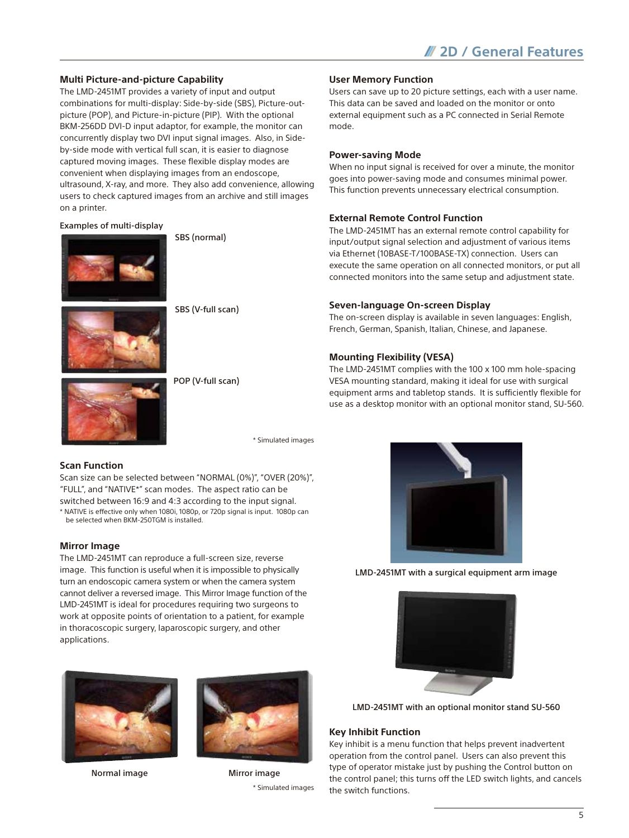## **Multi Picture-and-picture Capability**

The LMD-2451MT provides a variety of input and output combinations for multi-display: Side-by-side (SBS), Picture-outpicture (POP), and Picture-in-picture (PIP). With the optional BKM-256DD DVI-D input adaptor, for example, the monitor can concurrently display two DVI input signal images. Also, in Sideby-side mode with vertical full scan, it is easier to diagnose captured moving images. These flexible display modes are convenient when displaying images from an endoscope, ultrasound, X-ray, and more. They also add convenience, allowing users to check captured images from an archive and still images on a printer.

#### Examples of multi-display



SBS (normal)

SBS (V-full scan)



POP (V-full scan)

\* Simulated images

## **Scan Function**

Scan size can be selected between "NORMAL (0%)", "OVER (20%)", "FULL", and "NATIVE\*" scan modes. The aspect ratio can be switched between 16:9 and 4:3 according to the input signal. \* NATIVE is effective only when 1080i, 1080p, or 720p signal is input. 1080p can be selected when BKM-250TGM is installed.

#### **Mirror Image**

The LMD-2451MT can reproduce a full-screen size, reverse image. This function is useful when it is impossible to physically turn an endoscopic camera system or when the camera system cannot deliver a reversed image. This Mirror Image function of the LMD-2451MT is ideal for procedures requiring two surgeons to work at opposite points of orientation to a patient, for example in thoracoscopic surgery, laparoscopic surgery, and other applications.



Normal image **Million** Mirror image



\* Simulated images

#### **User Memory Function**

Users can save up to 20 picture settings, each with a user name. This data can be saved and loaded on the monitor or onto external equipment such as a PC connected in Serial Remote mode.

## **Power-saving Mode**

When no input signal is received for over a minute, the monitor goes into power-saving mode and consumes minimal power. This function prevents unnecessary electrical consumption.

#### **External Remote Control Function**

The LMD-2451MT has an external remote control capability for input/output signal selection and adjustment of various items via Ethernet (10BASE-T/100BASE-TX) connection. Users can execute the same operation on all connected monitors, or put all connected monitors into the same setup and adjustment state.

#### **Seven-language On-screen Display**

The on-screen display is available in seven languages: English, French, German, Spanish, Italian, Chinese, and Japanese.

#### **Mounting Flexibility (VESA)**

The LMD-2451MT complies with the 100 x 100 mm hole-spacing VESA mounting standard, making it ideal for use with surgical equipment arms and tabletop stands. It is sufficiently flexible for use as a desktop monitor with an optional monitor stand, SU-560.



LMD-2451MT with a surgical equipment arm image



LMD-2451MT with an optional monitor stand SU-560

#### **Key Inhibit Function**

Key inhibit is a menu function that helps prevent inadvertent operation from the control panel. Users can also prevent this type of operator mistake just by pushing the Control button on the control panel; this turns off the LED switch lights, and cancels the switch functions.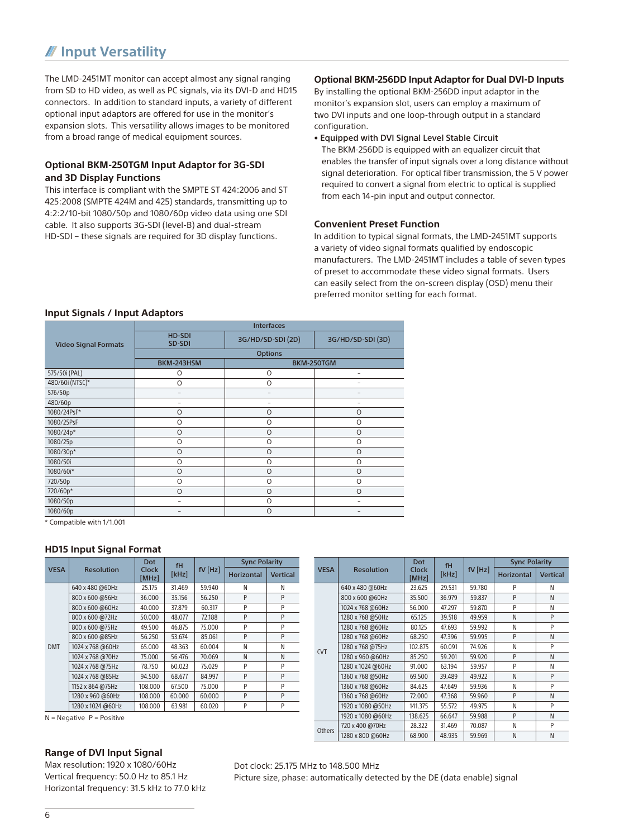# **Input Versatility**

The LMD-2451MT monitor can accept almost any signal ranging from SD to HD video, as well as PC signals, via its DVI-D and HD15 connectors. In addition to standard inputs, a variety of different optional input adaptors are offered for use in the monitor's expansion slots. This versatility allows images to be monitored from a broad range of medical equipment sources.

# **Optional BKM-250TGM Input Adaptor for 3G-SDI and 3D Display Functions**

This interface is compliant with the SMPTE ST 424:2006 and ST 425:2008 (SMPTE 424M and 425) standards, transmitting up to 4:2:2/10-bit 1080/50p and 1080/60p video data using one SDI cable. It also supports 3G-SDI (level-B) and dual-stream HD-SDI – these signals are required for 3D display functions.

## **Optional BKM-256DD Input Adaptor for Dual DVI-D Inputs**

By installing the optional BKM-256DD input adaptor in the monitor's expansion slot, users can employ a maximum of two DVI inputs and one loop-through output in a standard configuration.

• Equipped with DVI Signal Level Stable Circuit

The BKM-256DD is equipped with an equalizer circuit that enables the transfer of input signals over a long distance without signal deterioration. For optical fiber transmission, the 5 V power required to convert a signal from electric to optical is supplied from each 14-pin input and output connector.

## **Convenient Preset Function**

In addition to typical signal formats, the LMD-2451MT supports a variety of video signal formats qualified by endoscopic manufacturers. The LMD-2451MT includes a table of seven types of preset to accommodate these video signal formats. Users can easily select from the on-screen display (OSD) menu their preferred monitor setting for each format.

## **Input Signals / Input Adaptors**

|                             | <b>Interfaces</b>        |                   |                   |  |  |  |
|-----------------------------|--------------------------|-------------------|-------------------|--|--|--|
| <b>Video Signal Formats</b> | <b>HD-SDI</b><br>SD-SDI  | 3G/HD/SD-SDI (2D) | 3G/HD/SD-SDI (3D) |  |  |  |
|                             | <b>Options</b>           |                   |                   |  |  |  |
|                             | BKM-243HSM               | BKM-250TGM        |                   |  |  |  |
| 575/50i (PAL)               | O                        | $\circ$           |                   |  |  |  |
| 480/60i (NTSC)*             | $\circ$                  | $\circ$           |                   |  |  |  |
| 576/50p                     | $\overline{\phantom{0}}$ |                   |                   |  |  |  |
| 480/60p                     |                          |                   |                   |  |  |  |
| 1080/24PsF*                 | O                        | $\circ$           | $\circ$           |  |  |  |
| 1080/25PsF                  | O                        | $\circ$           | $\circ$           |  |  |  |
| 1080/24p*                   | $\circ$                  | $\circ$           | $\circ$           |  |  |  |
| 1080/25p                    | $\circ$                  | $\circ$           | $\circ$           |  |  |  |
| 1080/30p*                   | $\circ$                  | $\circ$           | $\circ$           |  |  |  |
| 1080/50i                    | $\circ$                  | $\circ$           | $\circ$           |  |  |  |
| 1080/60i*                   | $\circ$                  | $\circ$           | $\circ$           |  |  |  |
| 720/50p                     | $\circ$                  | $\circ$           | $\circ$           |  |  |  |
| 720/60p*                    | $\circ$                  | $\circ$           | $\circ$           |  |  |  |
| 1080/50p                    | -                        | $\circ$           |                   |  |  |  |
| 1080/60p                    |                          | $\circ$           |                   |  |  |  |

\* Compatible with 1/1.001

#### **HD15 Input Signal Format**

|             |                   | Dot<br>Clock<br>[MHz] | fH<br>[kHz] | $fV$ [Hz] | <b>Sync Polarity</b> |                 |
|-------------|-------------------|-----------------------|-------------|-----------|----------------------|-----------------|
| <b>VESA</b> | <b>Resolution</b> |                       |             |           | <b>Horizontal</b>    | <b>Vertical</b> |
|             | 640 x 480 @60Hz   | 25.175                | 31.469      | 59.940    | N                    | Ν               |
|             | 800 x 600 @56Hz   | 36.000                | 35.156      | 56.250    | P                    | P               |
|             | 800 x 600 @60Hz   | 40.000                | 37.879      | 60.317    | P                    | P               |
|             | 800 x 600 @72Hz   | 50.000                | 48.077      | 72.188    | P                    | P               |
|             | 800 x 600 @75Hz   | 49.500                | 46.875      | 75,000    | P                    | P               |
|             | 800 x 600 @85Hz   | 56.250                | 53.674      | 85.061    | P                    | P               |
| <b>DMT</b>  | 1024 x 768 @60Hz  | 65,000                | 48.363      | 60.004    | N                    | Ν               |
|             | 1024 x 768 @70Hz  | 75.000                | 56.476      | 70.069    | N                    | N               |
|             | 1024 x 768 @75Hz  | 78.750                | 60.023      | 75.029    | P                    | P               |
|             | 1024 x 768 @85Hz  | 94.500                | 68.677      | 84.997    | P                    | P               |
|             | 1152 x 864 @75Hz  | 108.000               | 67.500      | 75.000    | P                    | P               |
|             | 1280 x 960 @60Hz  | 108.000               | 60.000      | 60.000    | P                    | P               |
|             | 1280 x 1024 @60Hz | 108.000               | 63.981      | 60.020    | P                    | P               |

 $N = Negative$  P = Positive

## **Range of DVI Input Signal**

Max resolution: 1920 x 1080/60Hz Vertical frequency: 50.0 Hz to 85.1 Hz Horizontal frequency: 31.5 kHz to 77.0 kHz

#### VESA Resolution Dot Clock [MHz] fH<br>[kHz  $fV$  [Hz] Sync Polarity Horizontal Vertical CVT 640 x 480 @60Hz 23.625 29.531 59.780 P N 800 x 600 @60Hz 35.500 36.979 59.837 P N 1024 x 768 @60Hz 56.000 47.297 59.870 P N 1280 x 768 @50Hz 65.125 39.518 49.959 N P 1280 x 768 @60Hz 80.125 47.693 59.992 N P 1280 x 768 @60Hz 68.250 47.396 59.995 P N 1280 x 768 @75Hz | 102.875 | 60.091 | 74.926 | N | P 1280 x 960 @60Hz 85.250 59.201 59.920 P N 1280 x 1024 @60Hz 91.000 63.194 59.957 P N 1360 x 768 @50Hz 69.500 39.489 49.922 N P 1360 x 768 @60Hz 84.625 47.649 59.936 N P 1360 x 768 @60Hz 72.000 47.368 59.960 P N 1920 x 1080 @50Hz 141.375 55.572 49.975 N P 1920 x 1080 @60Hz 138.625 66.647 59.988 P N Others 720 x 400 @70Hz 28.322 31.469 70.087 N P<br>1280 x 800 @60Hz 68 900 48 935 59 969 N N  $1280 \times 800 \omega 60$ Hz

Dot clock: 25.175 MHz to 148.500 MHz

Picture size, phase: automatically detected by the DE (data enable) signal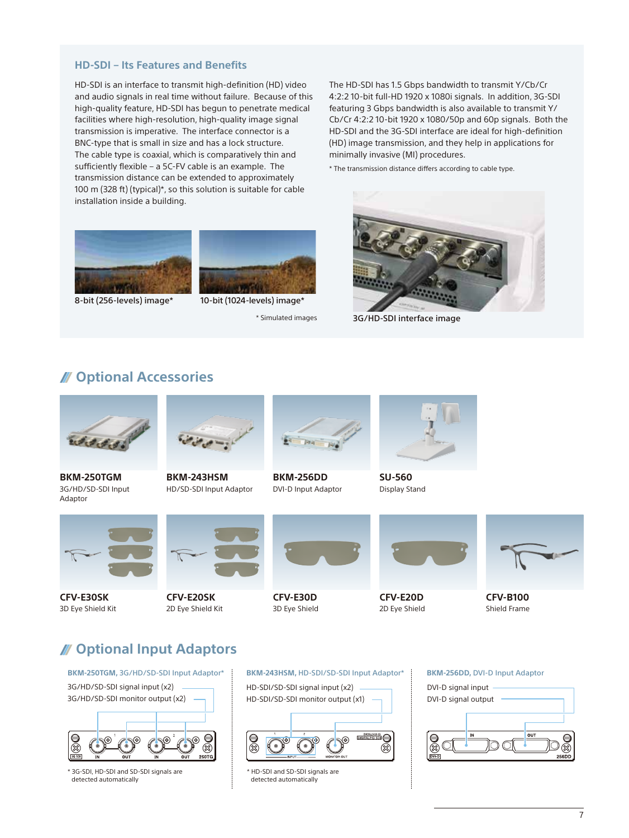# **HD-SDI – Its Features and Benefits**

HD-SDI is an interface to transmit high-definition (HD) video and audio signals in real time without failure. Because of this high-quality feature, HD-SDI has begun to penetrate medical facilities where high-resolution, high-quality image signal transmission is imperative. The interface connector is a BNC-type that is small in size and has a lock structure. The cable type is coaxial, which is comparatively thin and sufficiently flexible – a 5C-FV cable is an example. The transmission distance can be extended to approximately 100 m (328 ft) (typical)\*, so this solution is suitable for cable installation inside a building.

The HD-SDI has 1.5 Gbps bandwidth to transmit Y/Cb/Cr 4:2:2 10-bit full-HD 1920 x 1080i signals. In addition, 3G-SDI featuring 3 Gbps bandwidth is also available to transmit Y/ Cb/Cr 4:2:2 10-bit 1920 x 1080/50p and 60p signals. Both the HD-SDI and the 3G-SDI interface are ideal for high-definition (HD) image transmission, and they help in applications for minimally invasive (MI) procedures.

\* The transmission distance differs according to cable type.





8-bit (256-levels) image\* 10-bit (1024-levels) image\*

\* Simulated images



3G/HD-SDI interface image

# **Optional Accessories**



**BKM-250TGM** 3G/HD/SD-SDI Input Adaptor



**BKM-243HSM** HD/SD-SDI Input Adaptor



**BKM-256DD** DVI-D Input Adaptor



**SU-560** Display Stand



**CFV-E30SK** 3D Eye Shield Kit



**CFV-E20SK** 2D Eye Shield Kit



**CFV-E30D** 3D Eye Shield



**CFV-E20D** 2D Eye Shield



**CFV-B100** Shield Frame

# **Optional Input Adaptors**



\* 3G-SDI, HD-SDI and SD-SDI signals are detected automatically

#### **BKM-243HSM,** HD-SDI/SD-SDI Input Adaptor\* **BKM-256DD,** DVI-D Input Adaptor



\* HD-SDI and SD-SDI signals are detected automatically